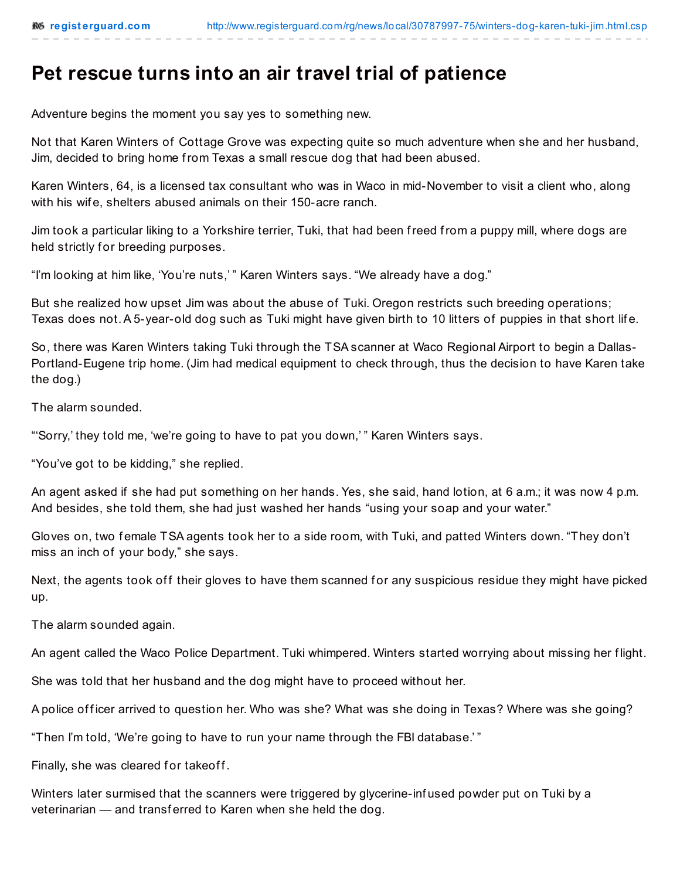## **Pet rescue turns into an air travel trial of patience**

Adventure begins the moment you say yes to something new.

Not that Karen Winters of Cottage Grove was expecting quite so much adventure when she and her husband, Jim, decided to bring home from Texas a small rescue dog that had been abused.

Karen Winters, 64, is a licensed tax consultant who was in Waco in mid-November to visit a client who, along with his wif e, shelters abused animals on their 150-acre ranch.

Jim took a particular liking to a Yorkshire terrier, Tuki, that had been freed from a puppy mill, where dogs are held strictly for breeding purposes.

"I'm looking at him like, 'You're nuts,' " Karen Winters says. "We already have a dog."

But she realized how upset Jim was about the abuse of Tuki. Oregon restricts such breeding operations; Texas does not. A 5-year-old dog such as Tuki might have given birth to 10 litters of puppies in that short life.

So, there was Karen Winters taking Tuki through the TSA scanner at Waco Regional Airport to begin a Dallas-Portland-Eugene trip home. (Jim had medical equipment to check through, thus the decision to have Karen take the dog.)

The alarm sounded.

"'Sorry,' they told me, 'we're going to have to pat you down,' " Karen Winters says.

"You've got to be kidding," she replied.

An agent asked if she had put something on her hands. Yes, she said, hand lotion, at 6 a.m.; it was now 4 p.m. And besides, she told them, she had just washed her hands "using your soap and your water."

Gloves on, two female TSA agents took her to a side room, with Tuki, and patted Winters down. "They don't miss an inch of your body," she says.

Next, the agents took off their gloves to have them scanned for any suspicious residue they might have picked up.

The alarm sounded again.

An agent called the Waco Police Department. Tuki whimpered. Winters started worrying about missing her f light.

She was told that her husband and the dog might have to proceed without her.

A police of ficer arrived to question her. Who was she? What was she doing in Texas? Where was she going?

"Then I'm told, 'We're going to have to run your name through the FBI database.' "

Finally, she was cleared for takeoff.

Winters later surmised that the scanners were triggered by glycerine-inf used powder put on Tuki by a veterinarian — and transferred to Karen when she held the dog.